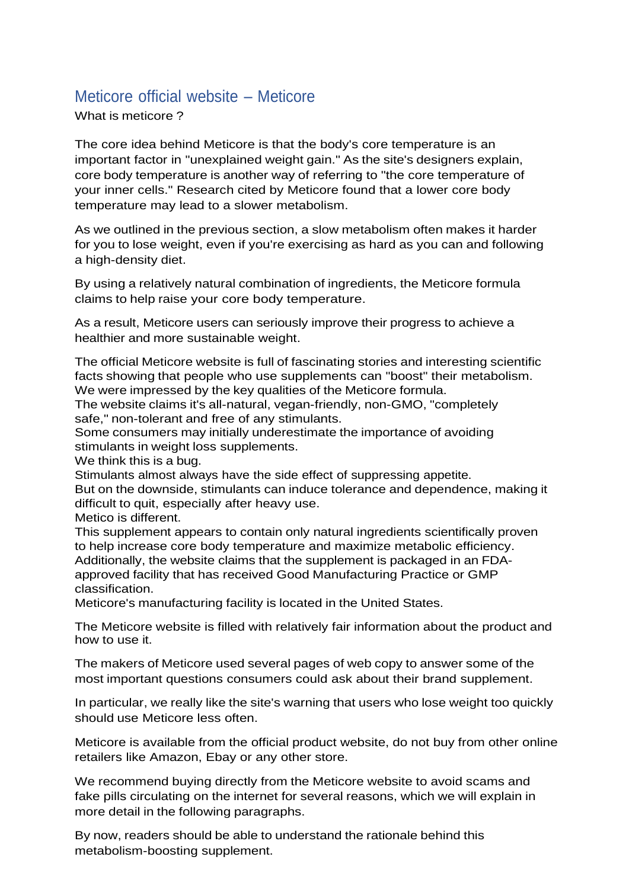## Meticore official website – Meticore

What is meticore ?

The core idea behind Meticore is that the body's core temperature is an important factor in "unexplained weight gain." As the site's designers explain, core body temperature is another way of referring to "the core temperature of your inner cells." Research cited by Meticore found that a lower core body temperature may lead to a slower metabolism.

As we outlined in the previous section, a slow metabolism often makes it harder for you to lose weight, even if you're exercising as hard as you can and following a high-density diet.

By using a relatively natural combination of ingredients, the Meticore formula claims to help raise your core body temperature.

As a result, Meticore users can seriously improve their progress to achieve a healthier and more sustainable weight.

The official Meticore website is full of fascinating stories and interesting scientific facts showing that people who use supplements can "boost" their metabolism. We were impressed by the key qualities of the Meticore formula.

The website claims it's all-natural, vegan-friendly, non-GMO, "completely safe," non-tolerant and free of any stimulants.

Some consumers may initially underestimate the importance of avoiding stimulants in weight loss supplements.

We think this is a bug.

Stimulants almost always have the side effect of suppressing appetite.

But on the downside, stimulants can induce tolerance and dependence, making it difficult to quit, especially after heavy use.

Metico is different.

This supplement appears to contain only natural ingredients scientifically proven to help increase core body temperature and maximize metabolic efficiency. Additionally, the website claims that the supplement is packaged in an FDAapproved facility that has received Good Manufacturing Practice or GMP classification.

Meticore's manufacturing facility is located in the United States.

The Meticore website is filled with relatively fair information about the product and how to use it.

The makers of Meticore used several pages of web copy to answer some of the most important questions consumers could ask about their brand supplement.

In particular, we really like the site's warning that users who lose weight too quickly should use Meticore less often.

Meticore is available from the official product website, do not buy from other online retailers like Amazon, Ebay or any other store.

We recommend buying directly from the Meticore website to avoid scams and fake pills circulating on the internet for several reasons, which we will explain in more detail in the following paragraphs.

By now, readers should be able to understand the rationale behind this metabolism-boosting supplement.